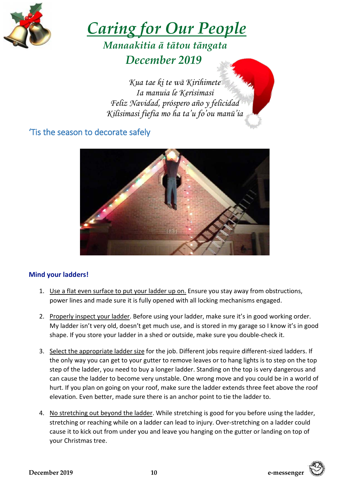

# *Caring for Our People*

# *Manaakitia ā tātou tāngata December 2019*

*Kua tae ki te wā Kirihimete Ia manuia le Kerisimasi Feliz Navidad, próspero año y felicidad Kilisimasi fiefia mo ha ta'u fo'ou manū'ia*

## 'Tis the season to decorate safely



#### **Mind your ladders!**

- 1. Use a flat even surface to put your ladder up on. Ensure you stay away from obstructions, power lines and made sure it is fully opened with all locking mechanisms engaged.
- 2. Properly inspect your ladder. Before using your ladder, make sure it's in good working order. My ladder isn't very old, doesn't get much use, and is stored in my garage so I know it's in good shape. If you store your ladder in a shed or outside, make sure you double-check it.
- 3. Select the appropriate ladder size for the job. Different jobs require different-sized ladders. If the only way you can get to your gutter to remove leaves or to hang lights is to step on the top step of the ladder, you need to buy a longer ladder. Standing on the top is very dangerous and can cause the ladder to become very unstable. One wrong move and you could be in a world of hurt. If you plan on going on your roof, make sure the ladder extends three feet above the roof elevation. Even better, made sure there is an anchor point to tie the ladder to.
- 4. No stretching out beyond the ladder. While stretching is good for you before using the ladder, stretching or reaching while on a ladder can lead to injury. Over-stretching on a ladder could cause it to kick out from under you and leave you hanging on the gutter or landing on top of your Christmas tree.